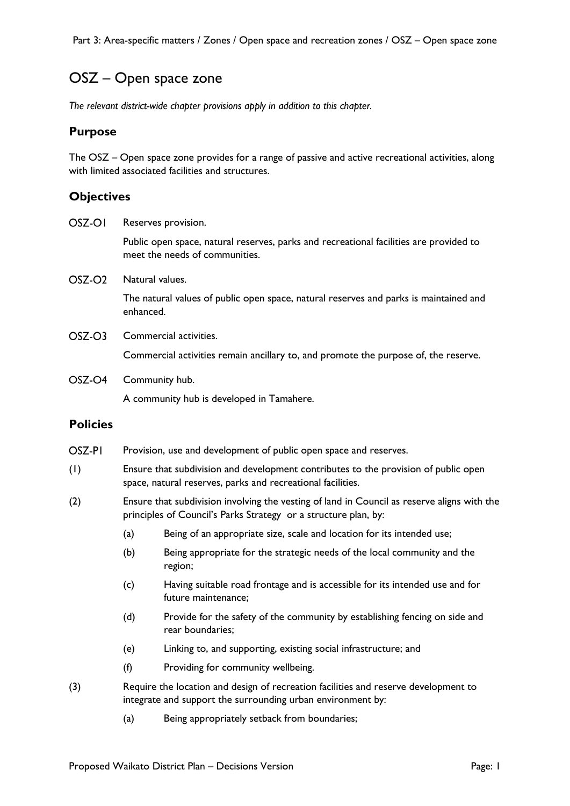Part 3: Area-specific matters / Zones / Open space and recreation zones / OSZ – Open space zone

## OSZ – Open space zone

*The relevant district-wide chapter provisions apply in addition to this chapter.*

### **Purpose**

The OSZ – Open space zone provides for a range of passive and active recreational activities, along with limited associated facilities and structures.

## **Objectives**

OSZ-OI Reserves provision.

> Public open space, natural reserves, parks and recreational facilities are provided to meet the needs of communities.

OSZ-O<sub>2</sub> Natural values.

> The natural values of public open space, natural reserves and parks is maintained and enhanced.

 $OSZ-OS$ Commercial activities.

Commercial activities remain ancillary to, and promote the purpose of, the reserve.

OSZ-O<sub>4</sub> Community hub.

A community hub is developed in Tamahere.

#### **Policies**

- OSZ-PI Provision, use and development of public open space and reserves.
- (1) Ensure that subdivision and development contributes to the provision of public open space, natural reserves, parks and recreational facilities.
- (2) Ensure that subdivision involving the vesting of land in Council as reserve aligns with the principles of Council's Parks Strategy or a structure plan, by:
	- (a) Being of an appropriate size, scale and location for its intended use;
	- (b) Being appropriate for the strategic needs of the local community and the region;
	- (c) Having suitable road frontage and is accessible for its intended use and for future maintenance;
	- (d) Provide for the safety of the community by establishing fencing on side and rear boundaries;
	- (e) Linking to, and supporting, existing social infrastructure; and
	- (f) Providing for community wellbeing.
- (3) Require the location and design of recreation facilities and reserve development to integrate and support the surrounding urban environment by:
	- (a) Being appropriately setback from boundaries;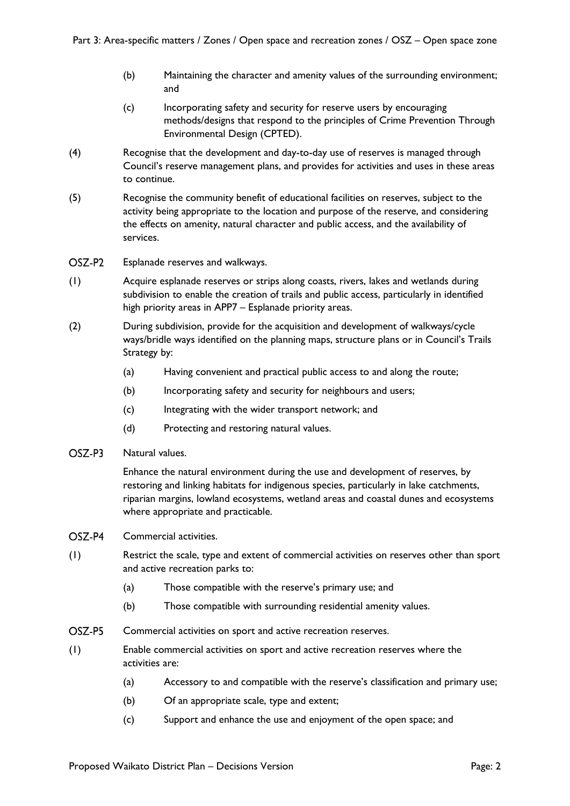- (b) Maintaining the character and amenity values of the surrounding environment; and
- (c) Incorporating safety and security for reserve users by encouraging methods/designs that respond to the principles of Crime Prevention Through Environmental Design (CPTED).
- (4) Recognise that the development and day-to-day use of reserves is managed through Council's reserve management plans, and provides for activities and uses in these areas to continue.
- (5) Recognise the community benefit of educational facilities on reserves, subject to the activity being appropriate to the location and purpose of the reserve, and considering the effects on amenity, natural character and public access, and the availability of services.
- OSZ-P<sub>2</sub> Esplanade reserves and walkways.
- (1) Acquire esplanade reserves or strips along coasts, rivers, lakes and wetlands during subdivision to enable the creation of trails and public access, particularly in identified high priority areas in APP7 – Esplanade priority areas.
- (2) During subdivision, provide for the acquisition and development of walkways/cycle ways/bridle ways identified on the planning maps, structure plans or in Council's Trails Strategy by:
	- (a) Having convenient and practical public access to and along the route;
	- (b) Incorporating safety and security for neighbours and users;
	- (c) Integrating with the wider transport network; and
	- (d) Protecting and restoring natural values.
- OSZ-P3 Natural values.

Enhance the natural environment during the use and development of reserves, by restoring and linking habitats for indigenous species, particularly in lake catchments, riparian margins, lowland ecosystems, wetland areas and coastal dunes and ecosystems where appropriate and practicable.

- OSZ-P4 Commercial activities.
- (1) Restrict the scale, type and extent of commercial activities on reserves other than sport and active recreation parks to:
	- (a) Those compatible with the reserve's primary use; and
	- (b) Those compatible with surrounding residential amenity values.
- OSZ-P5 Commercial activities on sport and active recreation reserves.
- (1) Enable commercial activities on sport and active recreation reserves where the activities are:
	- (a) Accessory to and compatible with the reserve's classification and primary use;
	- (b) Of an appropriate scale, type and extent;
	- (c) Support and enhance the use and enjoyment of the open space; and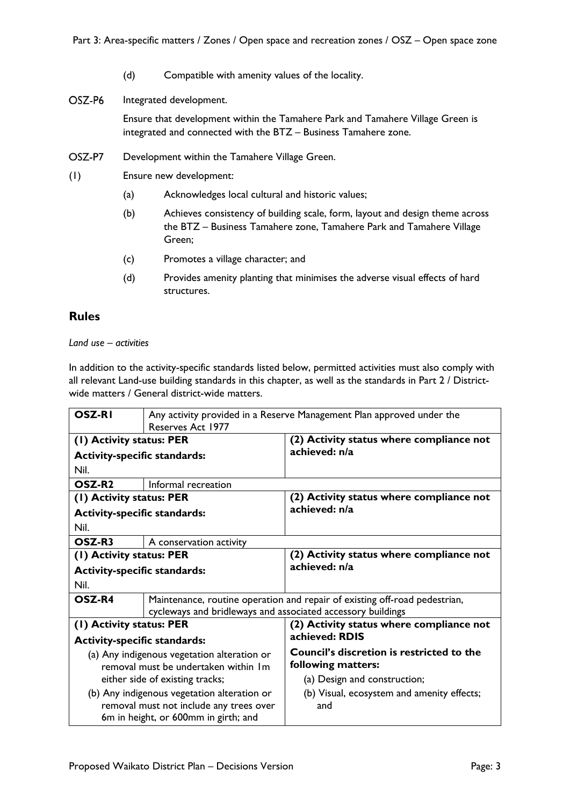- (d) Compatible with amenity values of the locality.
- OSZ-P6 Integrated development.

Ensure that development within the Tamahere Park and Tamahere Village Green is integrated and connected with the BTZ – Business Tamahere zone.

- OSZ-P7 Development within the Tamahere Village Green.
- (1) Ensure new development:
	- (a) Acknowledges local cultural and historic values;
	- (b) Achieves consistency of building scale, form, layout and design theme across the BTZ – Business Tamahere zone, Tamahere Park and Tamahere Village Green;
	- (c) Promotes a village character; and
	- (d) Provides amenity planting that minimises the adverse visual effects of hard structures.

#### **Rules**

*Land use – activities*

In addition to the activity-specific standards listed below, permitted activities must also comply with all relevant Land-use building standards in this chapter, as well as the standards in Part 2 / Districtwide matters / General district-wide matters.

| <b>OSZ-RI</b><br>Any activity provided in a Reserve Management Plan approved under the |                                                             |                                                                            |
|----------------------------------------------------------------------------------------|-------------------------------------------------------------|----------------------------------------------------------------------------|
| Reserves Act 1977                                                                      |                                                             |                                                                            |
| (1) Activity status: PER                                                               |                                                             | (2) Activity status where compliance not                                   |
| <b>Activity-specific standards:</b>                                                    |                                                             | achieved: n/a                                                              |
| Nil.                                                                                   |                                                             |                                                                            |
| OSZ-R <sub>2</sub>                                                                     | Informal recreation                                         |                                                                            |
| (1) Activity status: PER                                                               |                                                             | (2) Activity status where compliance not                                   |
| <b>Activity-specific standards:</b>                                                    |                                                             | achieved: n/a                                                              |
| Nil.                                                                                   |                                                             |                                                                            |
| OSZ-R3                                                                                 | A conservation activity                                     |                                                                            |
| (1) Activity status: PER                                                               |                                                             | (2) Activity status where compliance not                                   |
| <b>Activity-specific standards:</b>                                                    |                                                             | achieved: n/a                                                              |
| Nil.                                                                                   |                                                             |                                                                            |
| OSZ-R4                                                                                 |                                                             | Maintenance, routine operation and repair of existing off-road pedestrian, |
|                                                                                        | cycleways and bridleways and associated accessory buildings |                                                                            |
| (1) Activity status: PER                                                               |                                                             | (2) Activity status where compliance not                                   |
| <b>Activity-specific standards:</b>                                                    |                                                             | achieved: RDIS                                                             |
|                                                                                        | (a) Any indigenous vegetation alteration or                 | <b>Council's discretion is restricted to the</b>                           |
|                                                                                        | removal must be undertaken within Im                        | following matters:                                                         |
|                                                                                        | either side of existing tracks;                             | (a) Design and construction;                                               |
|                                                                                        | (b) Any indigenous vegetation alteration or                 | (b) Visual, ecosystem and amenity effects;                                 |
|                                                                                        | removal must not include any trees over                     | and                                                                        |
|                                                                                        | 6m in height, or 600mm in girth; and                        |                                                                            |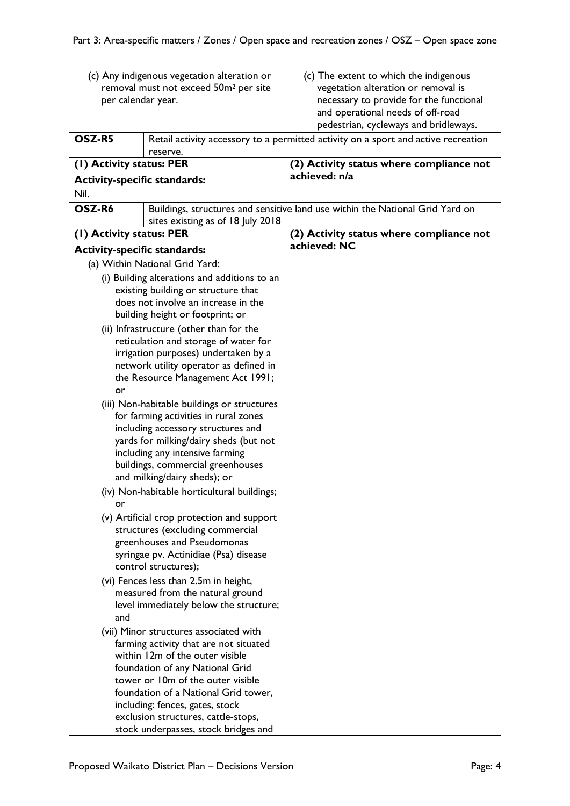|                                     | (c) Any indigenous vegetation alteration or                                         | (c) The extent to which the indigenous                                             |
|-------------------------------------|-------------------------------------------------------------------------------------|------------------------------------------------------------------------------------|
|                                     | removal must not exceed 50m <sup>2</sup> per site                                   | vegetation alteration or removal is                                                |
| per calendar year.                  |                                                                                     | necessary to provide for the functional                                            |
|                                     |                                                                                     | and operational needs of off-road                                                  |
|                                     |                                                                                     | pedestrian, cycleways and bridleways.                                              |
| OSZ-R5<br>reserve.                  |                                                                                     | Retail activity accessory to a permitted activity on a sport and active recreation |
| (1) Activity status: PER            |                                                                                     | (2) Activity status where compliance not                                           |
| <b>Activity-specific standards:</b> |                                                                                     | achieved: n/a                                                                      |
| Nil.                                |                                                                                     |                                                                                    |
| OSZ-R6                              |                                                                                     | Buildings, structures and sensitive land use within the National Grid Yard on      |
|                                     | sites existing as of 18 July 2018                                                   |                                                                                    |
| (I) Activity status: PER            |                                                                                     | (2) Activity status where compliance not                                           |
| <b>Activity-specific standards:</b> |                                                                                     | achieved: NC                                                                       |
|                                     | (a) Within National Grid Yard:                                                      |                                                                                    |
|                                     |                                                                                     |                                                                                    |
|                                     | (i) Building alterations and additions to an<br>existing building or structure that |                                                                                    |
|                                     | does not involve an increase in the                                                 |                                                                                    |
|                                     | building height or footprint; or                                                    |                                                                                    |
|                                     | (ii) Infrastructure (other than for the                                             |                                                                                    |
|                                     | reticulation and storage of water for                                               |                                                                                    |
|                                     | irrigation purposes) undertaken by a                                                |                                                                                    |
|                                     | network utility operator as defined in                                              |                                                                                    |
|                                     | the Resource Management Act 1991;                                                   |                                                                                    |
| or                                  |                                                                                     |                                                                                    |
|                                     | (iii) Non-habitable buildings or structures                                         |                                                                                    |
|                                     | for farming activities in rural zones                                               |                                                                                    |
|                                     | including accessory structures and                                                  |                                                                                    |
|                                     | yards for milking/dairy sheds (but not                                              |                                                                                    |
|                                     | including any intensive farming<br>buildings, commercial greenhouses                |                                                                                    |
|                                     | and milking/dairy sheds); or                                                        |                                                                                    |
|                                     | (iv) Non-habitable horticultural buildings;                                         |                                                                                    |
| or                                  |                                                                                     |                                                                                    |
|                                     | (v) Artificial crop protection and support                                          |                                                                                    |
|                                     | structures (excluding commercial                                                    |                                                                                    |
|                                     | greenhouses and Pseudomonas                                                         |                                                                                    |
|                                     | syringae pv. Actinidiae (Psa) disease                                               |                                                                                    |
|                                     | control structures);                                                                |                                                                                    |
|                                     | (vi) Fences less than 2.5m in height,                                               |                                                                                    |
|                                     | measured from the natural ground                                                    |                                                                                    |
|                                     | level immediately below the structure;                                              |                                                                                    |
| and                                 |                                                                                     |                                                                                    |
|                                     | (vii) Minor structures associated with                                              |                                                                                    |
|                                     | farming activity that are not situated                                              |                                                                                    |
|                                     | within 12m of the outer visible                                                     |                                                                                    |
|                                     | foundation of any National Grid<br>tower or 10m of the outer visible                |                                                                                    |
|                                     | foundation of a National Grid tower,                                                |                                                                                    |
|                                     | including: fences, gates, stock                                                     |                                                                                    |
|                                     | exclusion structures, cattle-stops,                                                 |                                                                                    |
|                                     | stock underpasses, stock bridges and                                                |                                                                                    |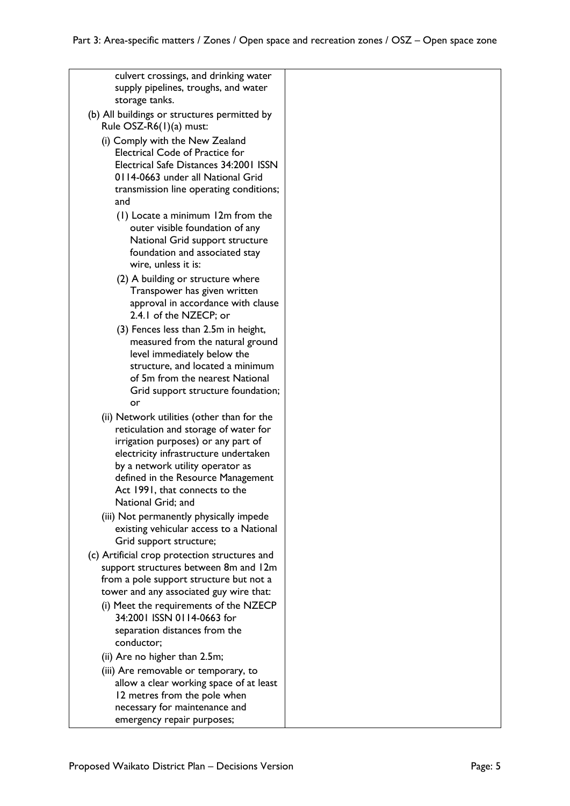| culvert crossings, and drinking water<br>supply pipelines, troughs, and water<br>storage tanks.                                                                                                                                                                                                       |  |
|-------------------------------------------------------------------------------------------------------------------------------------------------------------------------------------------------------------------------------------------------------------------------------------------------------|--|
| (b) All buildings or structures permitted by<br>Rule OSZ-R6(1)(a) must:                                                                                                                                                                                                                               |  |
| (i) Comply with the New Zealand<br>Electrical Code of Practice for<br>Electrical Safe Distances 34:2001 ISSN<br>0114-0663 under all National Grid<br>transmission line operating conditions;<br>and                                                                                                   |  |
| (1) Locate a minimum 12m from the<br>outer visible foundation of any<br>National Grid support structure<br>foundation and associated stay<br>wire, unless it is:                                                                                                                                      |  |
| (2) A building or structure where<br>Transpower has given written<br>approval in accordance with clause<br>2.4.1 of the NZECP; or                                                                                                                                                                     |  |
| (3) Fences less than 2.5m in height,<br>measured from the natural ground<br>level immediately below the<br>structure, and located a minimum<br>of 5m from the nearest National<br>Grid support structure foundation;<br>or                                                                            |  |
| (ii) Network utilities (other than for the<br>reticulation and storage of water for<br>irrigation purposes) or any part of<br>electricity infrastructure undertaken<br>by a network utility operator as<br>defined in the Resource Management<br>Act 1991, that connects to the<br>National Grid; and |  |
| (iii) Not permanently physically impede<br>existing vehicular access to a National<br>Grid support structure;                                                                                                                                                                                         |  |
| (c) Artificial crop protection structures and<br>support structures between 8m and 12m<br>from a pole support structure but not a<br>tower and any associated guy wire that:                                                                                                                          |  |
| (i) Meet the requirements of the NZECP<br>34:2001 ISSN 0114-0663 for<br>separation distances from the<br>conductor;                                                                                                                                                                                   |  |
| (ii) Are no higher than 2.5m;                                                                                                                                                                                                                                                                         |  |
| (iii) Are removable or temporary, to<br>allow a clear working space of at least<br>12 metres from the pole when<br>necessary for maintenance and                                                                                                                                                      |  |

emergency repair purposes;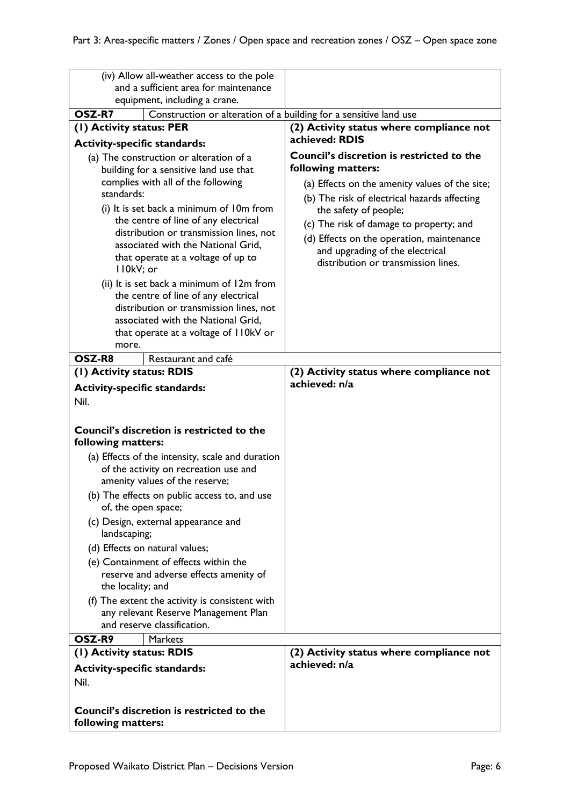|                                                                                                                                                                                                                                                                                                                                                                                                                                                                                                                                                                            | (iv) Allow all-weather access to the pole                                                                                                                                |                                                                                                                                                                                                                                                                                                                                                                     |
|----------------------------------------------------------------------------------------------------------------------------------------------------------------------------------------------------------------------------------------------------------------------------------------------------------------------------------------------------------------------------------------------------------------------------------------------------------------------------------------------------------------------------------------------------------------------------|--------------------------------------------------------------------------------------------------------------------------------------------------------------------------|---------------------------------------------------------------------------------------------------------------------------------------------------------------------------------------------------------------------------------------------------------------------------------------------------------------------------------------------------------------------|
|                                                                                                                                                                                                                                                                                                                                                                                                                                                                                                                                                                            | and a sufficient area for maintenance                                                                                                                                    |                                                                                                                                                                                                                                                                                                                                                                     |
|                                                                                                                                                                                                                                                                                                                                                                                                                                                                                                                                                                            | equipment, including a crane.                                                                                                                                            |                                                                                                                                                                                                                                                                                                                                                                     |
| OSZ-R7                                                                                                                                                                                                                                                                                                                                                                                                                                                                                                                                                                     | Construction or alteration of a building for a sensitive land use                                                                                                        |                                                                                                                                                                                                                                                                                                                                                                     |
| (1) Activity status: PER                                                                                                                                                                                                                                                                                                                                                                                                                                                                                                                                                   |                                                                                                                                                                          | (2) Activity status where compliance not<br>achieved: RDIS                                                                                                                                                                                                                                                                                                          |
| <b>Activity-specific standards:</b><br>(a) The construction or alteration of a<br>building for a sensitive land use that<br>complies with all of the following<br>standards:<br>(i) It is set back a minimum of 10m from<br>the centre of line of any electrical<br>distribution or transmission lines, not<br>associated with the National Grid,<br>that operate at a voltage of up to<br>II0kV; or<br>(ii) It is set back a minimum of 12m from<br>the centre of line of any electrical<br>distribution or transmission lines, not<br>associated with the National Grid, |                                                                                                                                                                          | <b>Council's discretion is restricted to the</b><br>following matters:<br>(a) Effects on the amenity values of the site;<br>(b) The risk of electrical hazards affecting<br>the safety of people;<br>(c) The risk of damage to property; and<br>(d) Effects on the operation, maintenance<br>and upgrading of the electrical<br>distribution or transmission lines. |
| more.                                                                                                                                                                                                                                                                                                                                                                                                                                                                                                                                                                      | that operate at a voltage of I IOkV or                                                                                                                                   |                                                                                                                                                                                                                                                                                                                                                                     |
| OSZ-R8                                                                                                                                                                                                                                                                                                                                                                                                                                                                                                                                                                     | Restaurant and café                                                                                                                                                      |                                                                                                                                                                                                                                                                                                                                                                     |
| (I) Activity status: RDIS                                                                                                                                                                                                                                                                                                                                                                                                                                                                                                                                                  |                                                                                                                                                                          | (2) Activity status where compliance not                                                                                                                                                                                                                                                                                                                            |
| <b>Activity-specific standards:</b>                                                                                                                                                                                                                                                                                                                                                                                                                                                                                                                                        |                                                                                                                                                                          | achieved: n/a                                                                                                                                                                                                                                                                                                                                                       |
| Nil.                                                                                                                                                                                                                                                                                                                                                                                                                                                                                                                                                                       |                                                                                                                                                                          |                                                                                                                                                                                                                                                                                                                                                                     |
| following matters:                                                                                                                                                                                                                                                                                                                                                                                                                                                                                                                                                         | Council's discretion is restricted to the<br>(a) Effects of the intensity, scale and duration<br>of the activity on recreation use and<br>amenity values of the reserve; |                                                                                                                                                                                                                                                                                                                                                                     |
|                                                                                                                                                                                                                                                                                                                                                                                                                                                                                                                                                                            | (b) The effects on public access to, and use                                                                                                                             |                                                                                                                                                                                                                                                                                                                                                                     |
| of, the open space;<br>landscaping;                                                                                                                                                                                                                                                                                                                                                                                                                                                                                                                                        | (c) Design, external appearance and                                                                                                                                      |                                                                                                                                                                                                                                                                                                                                                                     |
| the locality; and                                                                                                                                                                                                                                                                                                                                                                                                                                                                                                                                                          | (d) Effects on natural values;<br>(e) Containment of effects within the<br>reserve and adverse effects amenity of<br>(f) The extent the activity is consistent with      |                                                                                                                                                                                                                                                                                                                                                                     |
|                                                                                                                                                                                                                                                                                                                                                                                                                                                                                                                                                                            | any relevant Reserve Management Plan<br>and reserve classification.                                                                                                      |                                                                                                                                                                                                                                                                                                                                                                     |
| OSZ-R9                                                                                                                                                                                                                                                                                                                                                                                                                                                                                                                                                                     | Markets                                                                                                                                                                  |                                                                                                                                                                                                                                                                                                                                                                     |
| (1) Activity status: RDIS                                                                                                                                                                                                                                                                                                                                                                                                                                                                                                                                                  |                                                                                                                                                                          | (2) Activity status where compliance not                                                                                                                                                                                                                                                                                                                            |
| <b>Activity-specific standards:</b><br>Nil.                                                                                                                                                                                                                                                                                                                                                                                                                                                                                                                                | Council's discretion is restricted to the                                                                                                                                | achieved: n/a                                                                                                                                                                                                                                                                                                                                                       |
| following matters:                                                                                                                                                                                                                                                                                                                                                                                                                                                                                                                                                         |                                                                                                                                                                          |                                                                                                                                                                                                                                                                                                                                                                     |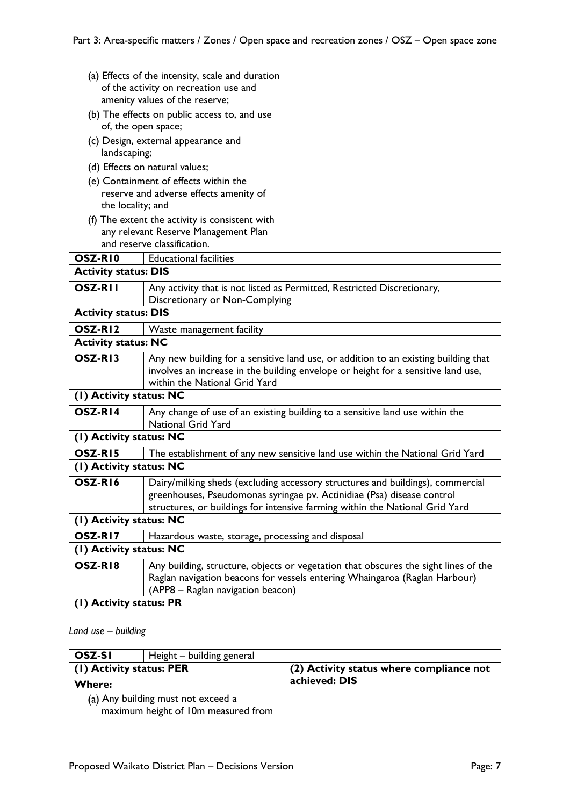|                                              | (a) Effects of the intensity, scale and duration<br>of the activity on recreation use and |                                                                                     |
|----------------------------------------------|-------------------------------------------------------------------------------------------|-------------------------------------------------------------------------------------|
|                                              | amenity values of the reserve;                                                            |                                                                                     |
| (b) The effects on public access to, and use |                                                                                           |                                                                                     |
| of, the open space;                          |                                                                                           |                                                                                     |
|                                              | (c) Design, external appearance and                                                       |                                                                                     |
| landscaping;                                 |                                                                                           |                                                                                     |
|                                              | (d) Effects on natural values;                                                            |                                                                                     |
|                                              | (e) Containment of effects within the                                                     |                                                                                     |
|                                              | reserve and adverse effects amenity of                                                    |                                                                                     |
| the locality; and                            |                                                                                           |                                                                                     |
|                                              | (f) The extent the activity is consistent with                                            |                                                                                     |
|                                              | any relevant Reserve Management Plan<br>and reserve classification.                       |                                                                                     |
|                                              |                                                                                           |                                                                                     |
| OSZ-RI0                                      | <b>Educational facilities</b>                                                             |                                                                                     |
| <b>Activity status: DIS</b>                  |                                                                                           |                                                                                     |
| <b>OSZ-RII</b>                               | Discretionary or Non-Complying                                                            | Any activity that is not listed as Permitted, Restricted Discretionary,             |
| <b>Activity status: DIS</b>                  |                                                                                           |                                                                                     |
| OSZ-RI <sub>2</sub>                          | Waste management facility                                                                 |                                                                                     |
| <b>Activity status: NC</b>                   |                                                                                           |                                                                                     |
| OSZ-RI3                                      |                                                                                           | Any new building for a sensitive land use, or addition to an existing building that |
|                                              |                                                                                           | involves an increase in the building envelope or height for a sensitive land use,   |
|                                              | within the National Grid Yard                                                             |                                                                                     |
| (1) Activity status: NC                      |                                                                                           |                                                                                     |
| OSZ-RI4                                      | <b>National Grid Yard</b>                                                                 | Any change of use of an existing building to a sensitive land use within the        |
| (I) Activity status: NC                      |                                                                                           |                                                                                     |
| OSZ-RI5                                      |                                                                                           | The establishment of any new sensitive land use within the National Grid Yard       |
| (I) Activity status: NC                      |                                                                                           |                                                                                     |
| OSZ-RI6                                      |                                                                                           | Dairy/milking sheds (excluding accessory structures and buildings), commercial      |
|                                              |                                                                                           | greenhouses, Pseudomonas syringae pv. Actinidiae (Psa) disease control              |
|                                              |                                                                                           | structures, or buildings for intensive farming within the National Grid Yard        |
| (I) Activity status: NC                      |                                                                                           |                                                                                     |
| OSZ-RI7                                      | Hazardous waste, storage, processing and disposal                                         |                                                                                     |
| (1) Activity status: NC                      |                                                                                           |                                                                                     |
| OSZ-RI8                                      |                                                                                           | Any building, structure, objects or vegetation that obscures the sight lines of the |
|                                              |                                                                                           | Raglan navigation beacons for vessels entering Whaingaroa (Raglan Harbour)          |
|                                              | (APP8 - Raglan navigation beacon)                                                         |                                                                                     |
| (I) Activity status: PR                      |                                                                                           |                                                                                     |

# *Land use – building*

| OSZ-SI                   | Height - building general           |                                          |
|--------------------------|-------------------------------------|------------------------------------------|
| (1) Activity status: PER |                                     | (2) Activity status where compliance not |
| <b>Where:</b>            |                                     | achieved: DIS                            |
|                          | (a) Any building must not exceed a  |                                          |
|                          | maximum height of 10m measured from |                                          |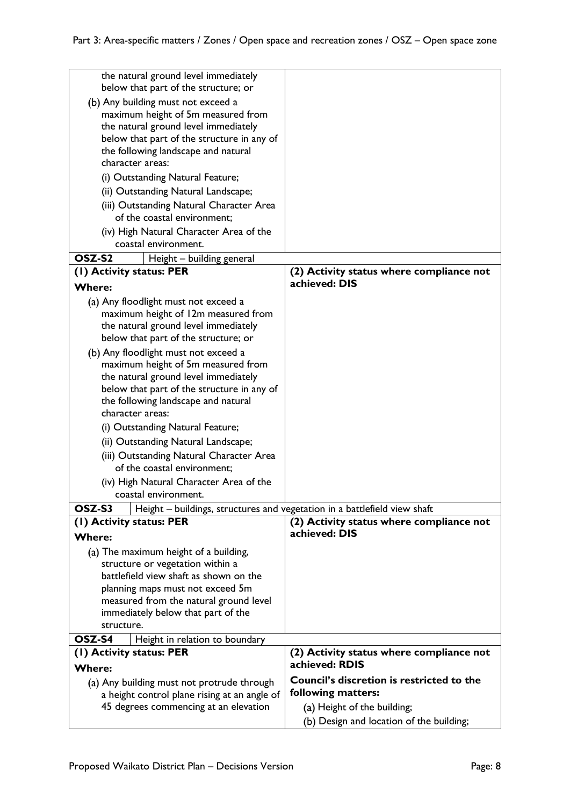| the natural ground level immediately                                                       |                                                  |
|--------------------------------------------------------------------------------------------|--------------------------------------------------|
| below that part of the structure; or                                                       |                                                  |
| (b) Any building must not exceed a                                                         |                                                  |
| maximum height of 5m measured from<br>the natural ground level immediately                 |                                                  |
| below that part of the structure in any of                                                 |                                                  |
| the following landscape and natural                                                        |                                                  |
| character areas:                                                                           |                                                  |
| (i) Outstanding Natural Feature;                                                           |                                                  |
| (ii) Outstanding Natural Landscape;                                                        |                                                  |
| (iii) Outstanding Natural Character Area                                                   |                                                  |
| of the coastal environment;                                                                |                                                  |
| (iv) High Natural Character Area of the                                                    |                                                  |
| coastal environment.                                                                       |                                                  |
| OSZ-S2<br>Height - building general                                                        |                                                  |
| (1) Activity status: PER                                                                   | (2) Activity status where compliance not         |
| <b>Where:</b>                                                                              | achieved: DIS                                    |
| (a) Any floodlight must not exceed a                                                       |                                                  |
| maximum height of 12m measured from                                                        |                                                  |
| the natural ground level immediately                                                       |                                                  |
| below that part of the structure; or                                                       |                                                  |
| (b) Any floodlight must not exceed a                                                       |                                                  |
| maximum height of 5m measured from                                                         |                                                  |
| the natural ground level immediately                                                       |                                                  |
| below that part of the structure in any of                                                 |                                                  |
| the following landscape and natural<br>character areas:                                    |                                                  |
| (i) Outstanding Natural Feature;                                                           |                                                  |
| (ii) Outstanding Natural Landscape;                                                        |                                                  |
| (iii) Outstanding Natural Character Area                                                   |                                                  |
| of the coastal environment;                                                                |                                                  |
| (iv) High Natural Character Area of the                                                    |                                                  |
| coastal environment.                                                                       |                                                  |
| OSZ-S3<br>Height – buildings, structures and vegetation in a battlefield view shaft        |                                                  |
| (I) Activity status: PER                                                                   | (2) Activity status where compliance not         |
| <b>Where:</b>                                                                              | achieved: DIS                                    |
| (a) The maximum height of a building,                                                      |                                                  |
| structure or vegetation within a                                                           |                                                  |
| battlefield view shaft as shown on the                                                     |                                                  |
| planning maps must not exceed 5m                                                           |                                                  |
| measured from the natural ground level                                                     |                                                  |
| immediately below that part of the<br>structure.                                           |                                                  |
| OSZ-S4                                                                                     |                                                  |
| Height in relation to boundary<br>(I) Activity status: PER                                 | (2) Activity status where compliance not         |
|                                                                                            | achieved: RDIS                                   |
| <b>Where:</b>                                                                              | <b>Council's discretion is restricted to the</b> |
| (a) Any building must not protrude through<br>a height control plane rising at an angle of | following matters:                               |
| 45 degrees commencing at an elevation                                                      | (a) Height of the building;                      |
|                                                                                            | (b) Design and location of the building;         |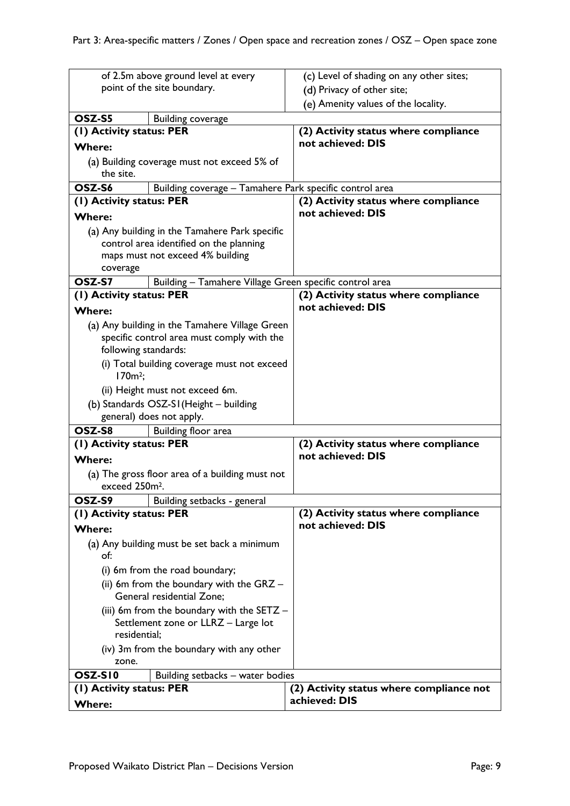| of 2.5m above ground level at every                                                                                                       |                                                                                           | (c) Level of shading on any other sites;                |
|-------------------------------------------------------------------------------------------------------------------------------------------|-------------------------------------------------------------------------------------------|---------------------------------------------------------|
| point of the site boundary.                                                                                                               |                                                                                           | (d) Privacy of other site;                              |
|                                                                                                                                           |                                                                                           | (e) Amenity values of the locality.                     |
| OSZ-S5                                                                                                                                    | <b>Building coverage</b>                                                                  |                                                         |
| (1) Activity status: PER                                                                                                                  |                                                                                           | (2) Activity status where compliance                    |
| <b>Where:</b>                                                                                                                             |                                                                                           | not achieved: DIS                                       |
| (a) Building coverage must not exceed 5% of<br>the site.                                                                                  |                                                                                           |                                                         |
| OSZ-S6                                                                                                                                    |                                                                                           | Building coverage - Tamahere Park specific control area |
| (1) Activity status: PER                                                                                                                  |                                                                                           | (2) Activity status where compliance                    |
| <b>Where:</b>                                                                                                                             |                                                                                           | not achieved: DIS                                       |
| (a) Any building in the Tamahere Park specific<br>control area identified on the planning<br>maps must not exceed 4% building<br>coverage |                                                                                           |                                                         |
| OSZ-S7                                                                                                                                    |                                                                                           | Building - Tamahere Village Green specific control area |
| (1) Activity status: PER                                                                                                                  |                                                                                           | (2) Activity status where compliance                    |
| <b>Where:</b>                                                                                                                             |                                                                                           | not achieved: DIS                                       |
| (a) Any building in the Tamahere Village Green<br>following standards:<br>$170m^2$ ;                                                      | specific control area must comply with the<br>(i) Total building coverage must not exceed |                                                         |
| (ii) Height must not exceed 6m.                                                                                                           |                                                                                           |                                                         |
| (b) Standards OSZ-SI (Height - building                                                                                                   |                                                                                           |                                                         |
| general) does not apply.                                                                                                                  |                                                                                           |                                                         |
| OSZ-S8                                                                                                                                    | Building floor area                                                                       |                                                         |
| (1) Activity status: PER                                                                                                                  |                                                                                           | (2) Activity status where compliance                    |
| <b>Where:</b>                                                                                                                             |                                                                                           | not achieved: DIS                                       |
| (a) The gross floor area of a building must not<br>exceed 250m <sup>2</sup> .                                                             |                                                                                           |                                                         |
| OSZ-S9                                                                                                                                    | Building setbacks - general                                                               |                                                         |
| (1) Activity status: PER                                                                                                                  |                                                                                           | (2) Activity status where compliance                    |
| <b>Where:</b>                                                                                                                             |                                                                                           | not achieved: DIS                                       |
| (a) Any building must be set back a minimum<br>of:                                                                                        |                                                                                           |                                                         |
| (i) 6m from the road boundary;                                                                                                            |                                                                                           |                                                         |
|                                                                                                                                           | (ii) 6m from the boundary with the $GRZ -$                                                |                                                         |
| General residential Zone;                                                                                                                 |                                                                                           |                                                         |
|                                                                                                                                           | (iii) 6m from the boundary with the SETZ -                                                |                                                         |
| residential;                                                                                                                              | Settlement zone or LLRZ - Large lot                                                       |                                                         |
|                                                                                                                                           | (iv) 3m from the boundary with any other                                                  |                                                         |
| zone.                                                                                                                                     |                                                                                           |                                                         |
| OSZ-SI0                                                                                                                                   | Building setbacks - water bodies                                                          |                                                         |
| (1) Activity status: PER                                                                                                                  |                                                                                           | (2) Activity status where compliance not                |
| <b>Where:</b>                                                                                                                             |                                                                                           | achieved: DIS                                           |